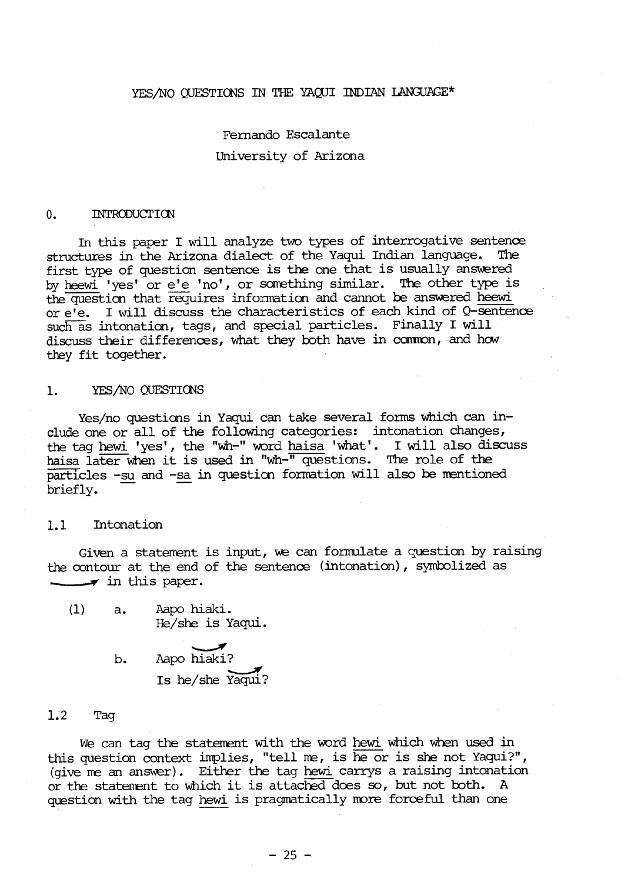### YES/NO QUESTIONS IN THE YAQUI INDIAN LANGUAGE\*

# Fernando Escalante University of Arizona

#### O. INTRODUCTION

In this paper I will analyze two types of interrogative sentence structures in the Arizona dialect of the Yaqui Indian language. first type of question sentence is the one that is usually answered by heewi 'yes' or e'e 'no', or something similar. The other type is the question that requires information and cannot be answered heewi or e'e. I will discuss the characteristics of each kind of  $Q$ -sentence such as intonation, tags, and special particles. Finally I will discuss their differences, what they both have in common, and how they fit together.

## 1. YES/NO QUESTIONS

Yes/no questions in Yaqui can take several forms which can include one or all of the following categories: intonation changes, the tag hewi 'yes', the "wh-" word haisa 'what'. I will also discuss haisa later when it is used in "wh-" questions. The role of the particles -su and -sa in question formation will also be mentioned briefly.

#### 1.1 Intonation

Given a statement is input, we can formulate a question by raising the contour at the end of the sentence (intonation), symbolized as  $\longrightarrow$  in this paper.

- (1) a. Aapo hiaki. He/she is Yaqui.
	- $\sim$ b. Aapo hiaki? Is he/she Yaqui?

# 1.2 Tag

We can tag the statement with the word hewi which when used in this question context implies, "tell me, is he or is she not Yaqui?", (give me an answer). Either the tag hewi carrys a raising intonation or the statement to which it is attached does so, but not both. A question with the tag hewi is pragmatically more forceful than one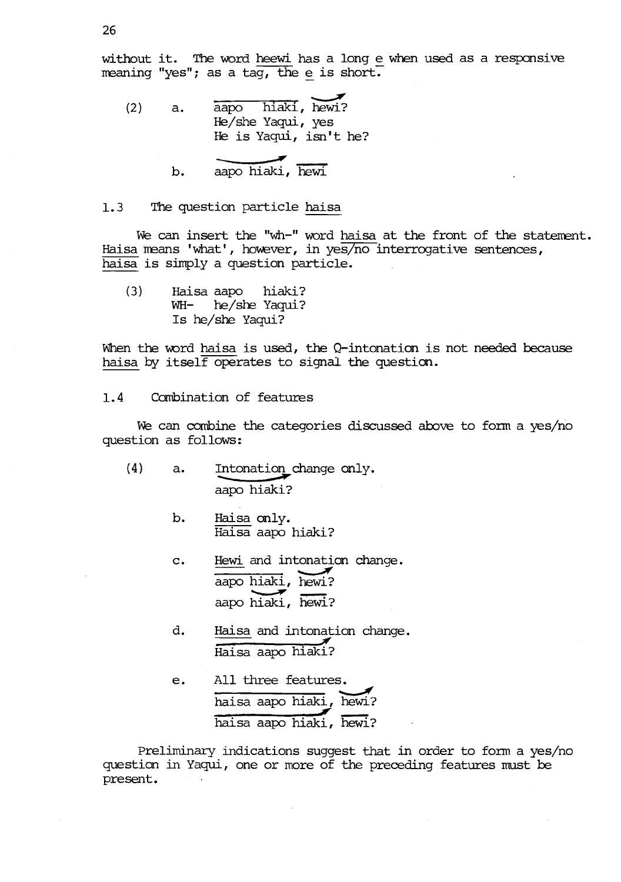without it. The word heewi has a long e when used as a responsive meaning "yes"; as a tag, the e is short.

- (2) a. aapo hiaki, hewi? He/she Yaqui, yes He is Yaqui, isn't he?
	- b. aapo hiaki, hewi

1.3 The question particle baisa

We can insert the "wh-" word haisa at the front of the statement. Haisa means 'what', however, in yes/no interrogative sentences, baisa is simply a question particle.

(3) Haisa aapo hiaki? WH- he/she Yaqui? Is he/she Yaqui?

When the word haisa is used, the Q-intonation is not needed because haisa by itself operates to signal the question.

1.4 Combination of features

We can combine the categories discussed above to form a yes/no question as follows:

- (4) a. Intonation change only. aapo hiaki?
	- b. Haisa only. Haisa aapo hiaki?
	- c. Hewi and intonation change. aapo hiaki, hewi? aapo hiaki, hewi?
	- d. Haisa and intonation change.  $\overline{A}$ Haisa aapo hiaki?
	- e. All three features. baisa aapo hiaki, hewi? baisa aapo hiaki, hewi?

Preliminary indications suggest that in order to form a yes/no question in Yaqui, one or more of the preceding features must be present.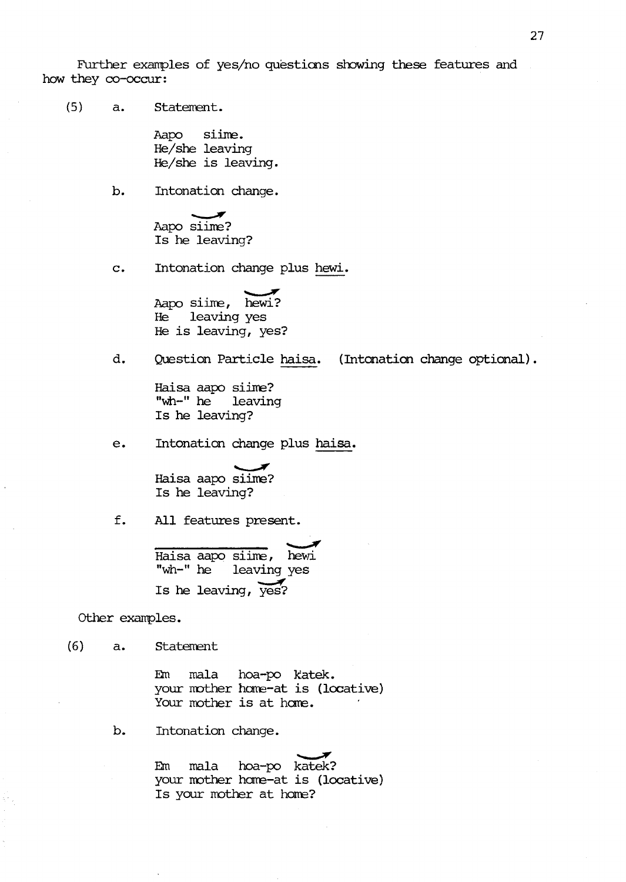Further examples of yes/no questions showing these features and how they co-occur:

(5) a. Statement.

Aapo siime. He/she leaving He/she is leaving.

b. Intonation change.

Aapo siime? Is he leaving?

c. Intonation change plus hewi.

Aapo siime, hewi? He leaving yes He is leaving, yes?

d. Question Particle baisa. (Intonation change optional).

Haisa aapo siime?<br>"wh-" he leaving " $wh$  he Is he leaving?

e. Intonation change plus baisa.

 $\frac{1}{\sqrt{2}}$ Haisa aapo sïime? Is he leaving?

f. All features present.

Haisa aapo siime, hewi<br>"wh-" he leaving yes leaving yes Is he leaving, yes?

Other examples.

(6) a. Statement

Em mala hoa-po katek. your mother home-at is (locative) Your mother is at home.

b. Intonation change.

Em mala hoa-po katek? your mother hone -at is (locative) Is your mother at hone?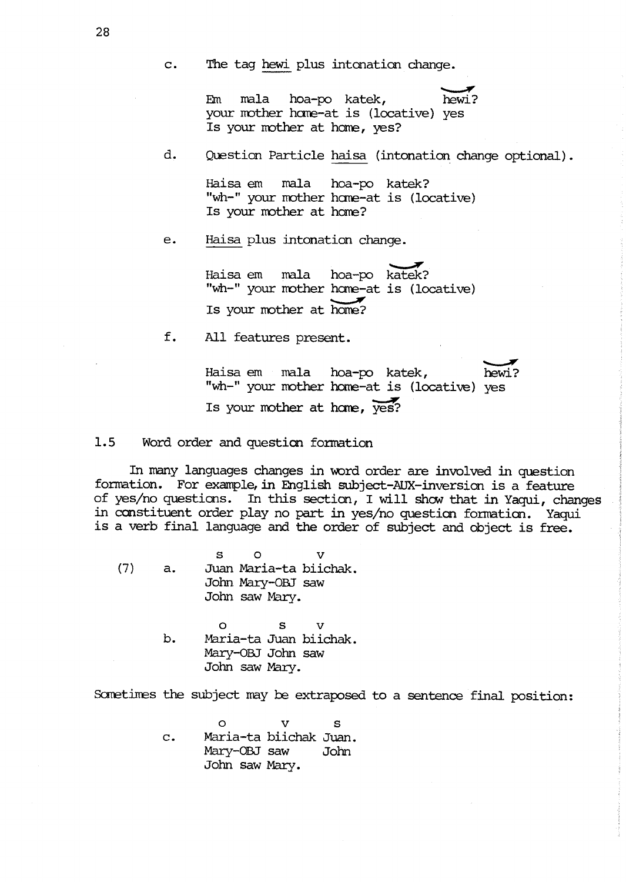c. The tag hewi plus intonation change.

Em mala hoa-po katek, hewi? your mother home-at is (locative) yes Is your mother at home, yes?

d. Question Particle baisa (intonation change optional).

Haisa em mala hoa-po katek? "wh-" your mother home-at is (locative) Is your mother at home?

e. Haisa plus intonation change.

Haisa em mala hoa-po katek? "wh-" your mother home-at is (locative) Is your mother at home?

f. All features present.

Haisa em mala hoa-po katek, hewi? "wh-" your mother home-at is (locative) yes Is your mother at home,  $\overline{yes?}$ 

1.5 Word order and question formation

In many languages changes in word order are involved in question formation. For example, in English subject-AUX-inversion is a feature of yes /no questions. In this section, I will show that in Yaqui, changes in constituent order play no part in yes/no question formation. Yaqui is a verb final language and the order of subject and object is free.

s o v (7) a. Juan Maria -ta biichak. John Mary -OBJ saw John saw Mary.

> o s v b. Maria-ta Juan biichak. Mary -OBJ John saw John saw Mary.

Sometimes the subject may be extraposed to a sentence final position:

o v s c. Maria -ta biichak Juan. Mary -OBJ saw John John saw Mary.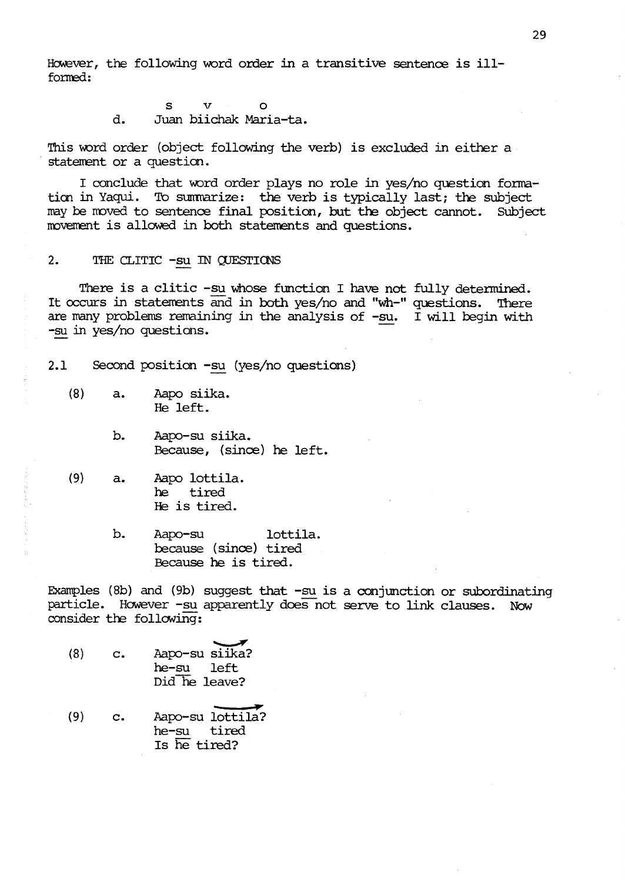However, the following word order in a transitive sentence is illformed:

> s v o d. Juan biichak Maria -ta.

This word order (object following the verb) is excluded in either a statement or a question.

I conclude that word order plays no role in yes/no question formation in Yaqui. To summarize: the verb is typically last; the subject may be moved to sentence final position, but the object cannot. Subject movement is allowed in both statements and questions.

### 2. THE CLITIC -su IN QUESTIONS

There is a clitic -su whose function I have not fully determined. It occurs in statements and in both yes /no and "wh -" questions. There are many problems remaining in the analysis of -su. I will begin with -su in yes/no questions.

2.1 Second position -su (yes/no questions)

- (8) a. Aapo siika. He left.
	- b. Aapo-su siika. Because, (since) he left.
- (9) a. Aapo lottila. he tired He is tired.

b. Aapo-su lottila. because (since) tired Because he is tired.

Examples (8b) and (9b) suggest that -su is a conjunction or subordinating particle. However -su apparently does not serve to link clauses. Now consider the following:

- (8) c. Aapo -su siika? he -su left Did he leave?
- (9) c. Aapo-su lottila? he-su tired Is he tired?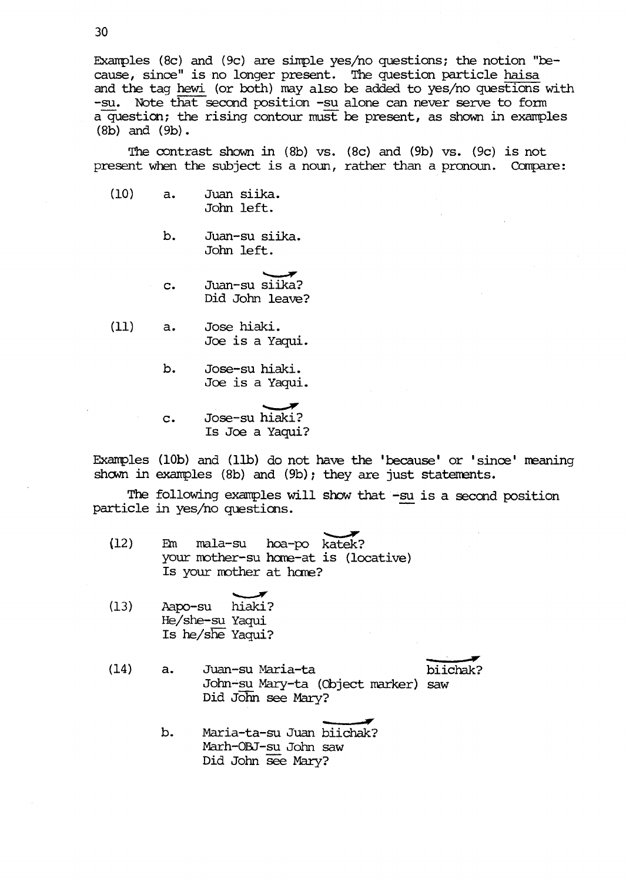Examples (8c) and (9c) are simple yes /no questions; the notion "because, since" is no longer present. The question particle haisa and the tag hewi (or both) may also be added to yes/no questions with -su. Note that second position -su alone can never serve to form a question; the rising contour must be present, as shown in examples (8b) and (9b) .

The contrast shown in (8b) vs. (8c) and (9b) vs. (9c) is not present when the subject is a noun, rather than a pronoun. Compare:

- (10) a. Juan siika. John left.
	- b. Juan-su siika. John left.
	- c. Juan-su siika? Did John leave?
- (11) a. Jose hiaki. Joe is a Yaqui.
	- b. Jose -su hiaki. Joe is a Yaqui.
	- c. Jose-su hiaki? Is Joe a Yaqui?

Examples (10b) and (lib) do not have the 'because' or 'since' meaning shown in examples (8b) and (9b); they are just statements.

The following examples will show that -su is a second position particle in yes/no questions.

- (12) Em mala -su hoa -po katek? your mother -su hone -at is (locative) Is your mother at home?
- (13) Aapo -su hiaki? He/she-su Yaqui Is he/she Yaqui?
- (14) a. Juan -su Maria -ta biichak? John -su Mary -ta (Object marker) saw Did John see Mary?
	- b. Maria-ta-su Juan biichak? Marh-OBJ-su John saw Did John see Mary?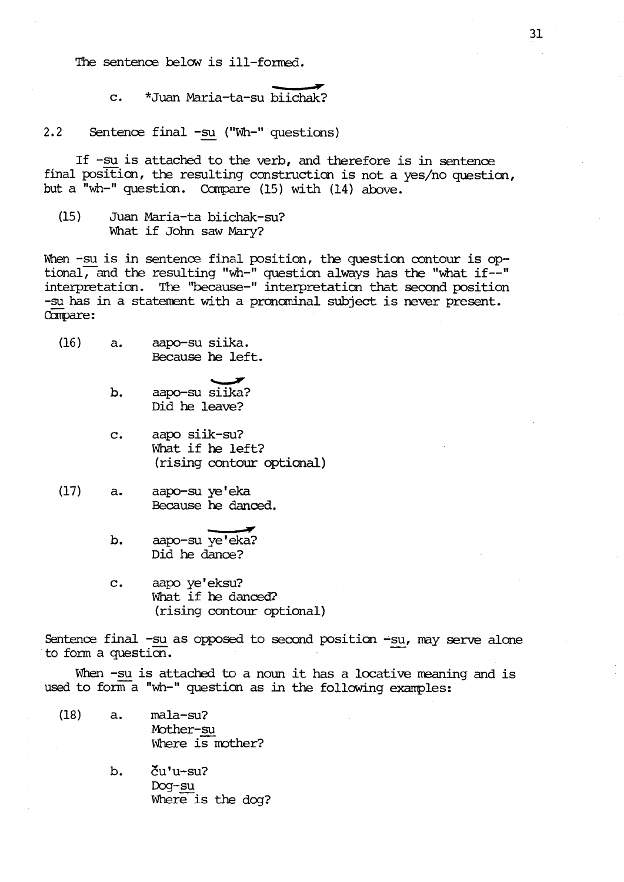The sentence below is ill -formed.

c. \*Juan Maria-ta-su biichak?

2.2 Sentence final -su ("Wh-" questions)

If -su is attached to the verb, and therefore is in sentence final position, the resulting construction is not a yes/no question, but a "wh-" question. Compare  $(15)$  with  $(14)$  above.

(15) Juan Maria-ta biichak-su? What if John saw Mary?

When -su is in sentence final position, the question contour is optional, and the resulting "wh -" question always has the "what if - -" interpretation. The " because -" interpretation that second position -su has in a statement with a pronominal subject is never present. Compare:

- (16) a. aapo -su siika. Because he left.
	- b. aapo-su siika? Did he leave?
	- c. aapo siik-su? What if he left? (rising contour optional)
- (17) a. aapo -su ye'eka Because he danced.
	- b. aapo-su ye'eka? Did he dance?
	- c. aapo ye'eksu? What if he danced? (rising contour optional)

Sentence final -su as opposed to second position -su, may serve alone to form a question.

When -su is attached to a noun it has a locative meaning and is used to form a "wh-" question as in the following examples:

- $(18)$  a. mala-su? Mother-su Where is mother?
	- $b.$   $\check{c}$ u'u-su? Dog-su Where is the dog?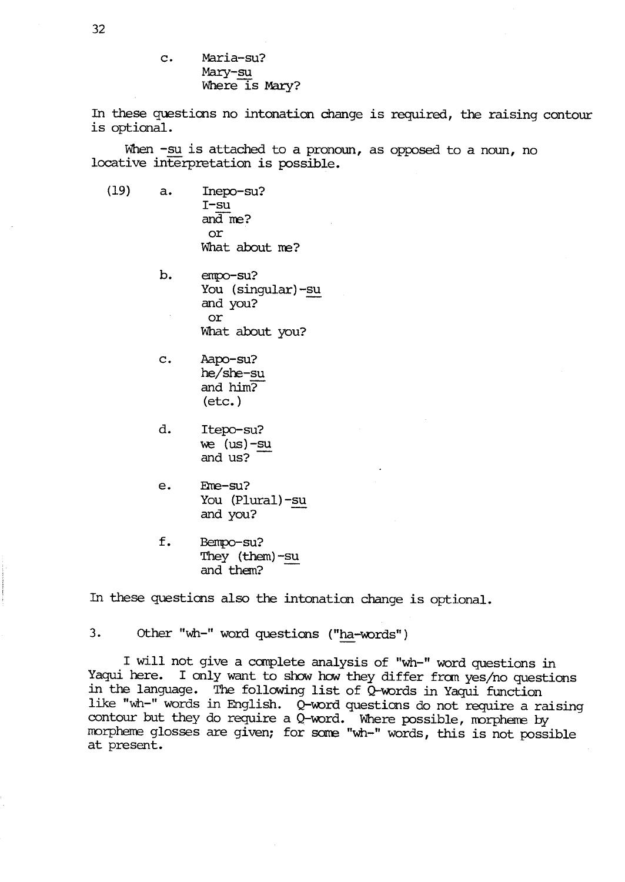# c. Maria-su? Mary-su Where is Mary?

In these questions no intonation change is required, the raising contour is optional.

When -su is attached to a pronoun, as opposed to a noun, no locative interpretation is possible.

- $(19)$  a. Inepo-su? I-su and  $me$ ? or What about me?
	- b. empo-su? You (singular)-su and you? or What about you?
	- c. Aapo-su? he /she -su and him? (etc.)
	- d. Itepo-su? we  $(us)$ -su and us?
	- e. Eme-su? You (Plural)-su and you?
	- f. Bempo-su? They (them) -su and them?

In these questions also the intonation change is optional.

3. Other "wh-" word questions ("ha-words")

I will not give a complete analysis of "wh-" word questions in Yaqui here. I only want to show how they differ from yes/no questions in the language. The following list of Q-words in Yaqui function like "wh-" words in English. Q-word questions do not require a raising contour but they do require a  $Q$ -word. Where possible, morpheme by morpheme glosses are given; for some "wh-" words, this is not possible at present.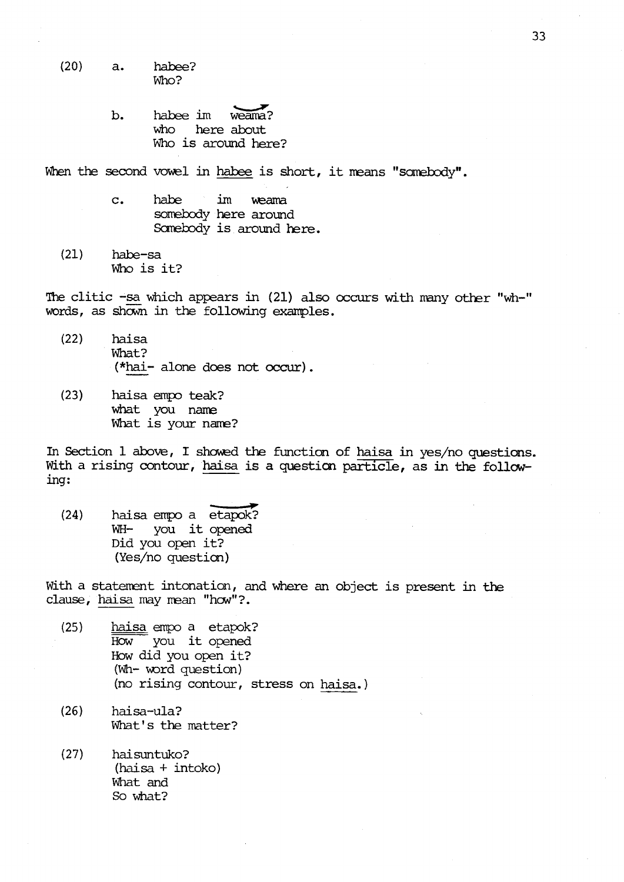(20) a. babee? Who?

> b. habee im weama? who here about Who is around here?

When the second vowel in habee is short, it means "somebody".

- c. habe im weama somebody here around Somebody is around here.
- $(21)$  habe-sa Who is it?

The clitic  $-sa$  which appears in (21) also occurs with many other "wh-" words, as shown in the following examples.

- (22) baisa What? (\*hai- alone does not occur).
- (23) haisa empo teak? what you name What is your name?

In Section 1 above, I showed the function of haisa in yes/no questions. With a rising contour, haisa is a question particle, as in the following:

(24) baisa empo a etapok? you it opened Did you open it? (Yes /no question)

With a statement intonation, and where an object is present in the clause, haisa may mean "how"?.

- (25) baisa empo a etapok? How you it opened How did you open it? (Wh- ward question) (no rising contour, stress on baisa.)
- $(26)$  haisa-ula? What's the matter?
- (27) haisuntuko? (baisa + intoko) What and So what?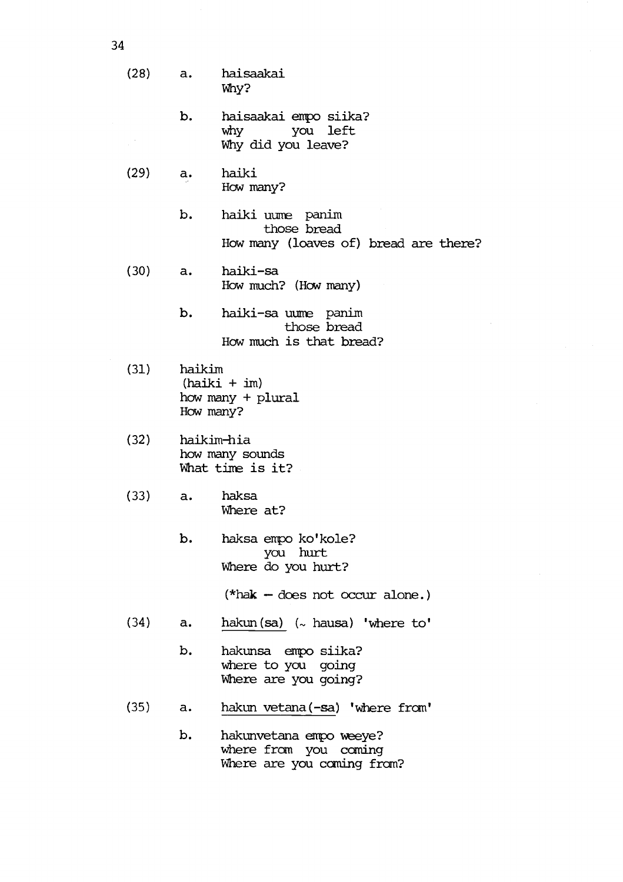- (28) a. haisaakai Why?
	- b. haisaakai empo siika? why you left Why did you leave?
- (29) a. haiki How many?
	- b. haiki uume panim those bread How many (loaves of) bread are there?
- $(30)$  a. haiki-sa How much? (How many)
	- b. haiki-sa uume panim those bread How much is that bread?
- (31) haikim  $(haiki + im)$ how many + plural How many?
- (32) haikim -hia how many sounds What time is it?
- (33) a. haksa Where at?
	- b. haksa empo ko'kole? you hurt Where do you hurt?

 $(*hak - does not occur alone.)$ 

- $(34)$  a. hakun(sa)  $(\sim$  hausa) 'where to'
	- b. hakunsa empo siika? where to you going Where are you going?
- $(35)$  a. hakun vetana  $(-sa)$  'where from'
	- b. hakunvetana empo weeye? where from you caning Where are you coming from?